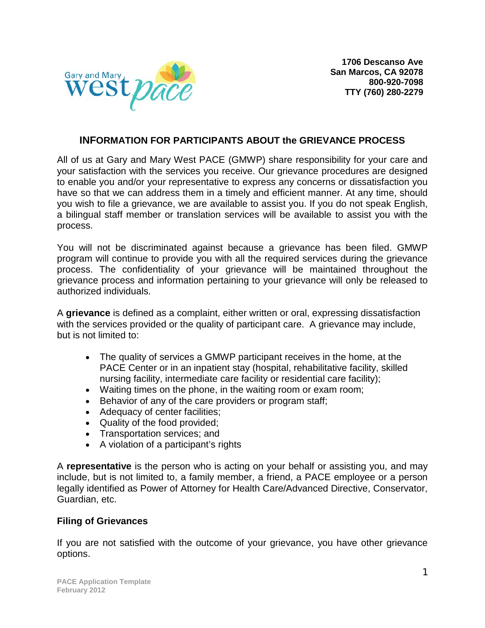

## **INFORMATION FOR PARTICIPANTS ABOUT the GRIEVANCE PROCESS**

All of us at Gary and Mary West PACE (GMWP) share responsibility for your care and your satisfaction with the services you receive. Our grievance procedures are designed to enable you and/or your representative to express any concerns or dissatisfaction you have so that we can address them in a timely and efficient manner. At any time, should you wish to file a grievance, we are available to assist you. If you do not speak English, a bilingual staff member or translation services will be available to assist you with the process.

You will not be discriminated against because a grievance has been filed. GMWP program will continue to provide you with all the required services during the grievance process. The confidentiality of your grievance will be maintained throughout the grievance process and information pertaining to your grievance will only be released to authorized individuals.

A **grievance** is defined as a complaint, either written or oral, expressing dissatisfaction with the services provided or the quality of participant care. A grievance may include, but is not limited to:

- The quality of services a GMWP participant receives in the home, at the PACE Center or in an inpatient stay (hospital, rehabilitative facility, skilled nursing facility, intermediate care facility or residential care facility);
- Waiting times on the phone, in the waiting room or exam room;
- Behavior of any of the care providers or program staff;
- Adequacy of center facilities;
- Quality of the food provided;
- Transportation services; and
- A violation of a participant's rights

A **representative** is the person who is acting on your behalf or assisting you, and may include, but is not limited to, a family member, a friend, a PACE employee or a person legally identified as Power of Attorney for Health Care/Advanced Directive, Conservator, Guardian, etc.

### **Filing of Grievances**

If you are not satisfied with the outcome of your grievance, you have other grievance options.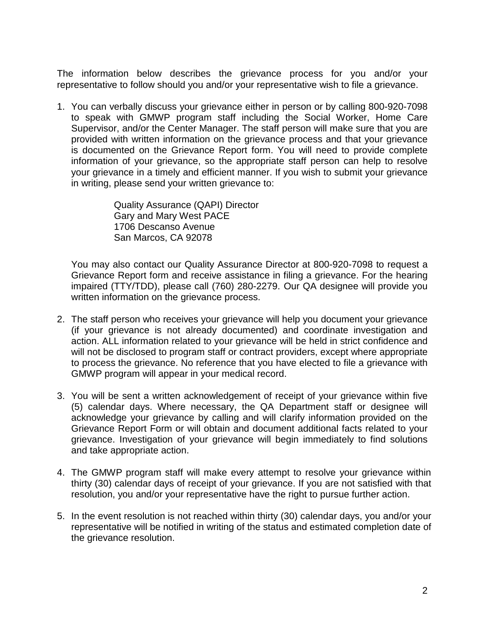The information below describes the grievance process for you and/or your representative to follow should you and/or your representative wish to file a grievance.

1. You can verbally discuss your grievance either in person or by calling 800-920-7098 to speak with GMWP program staff including the Social Worker, Home Care Supervisor, and/or the Center Manager. The staff person will make sure that you are provided with written information on the grievance process and that your grievance is documented on the Grievance Report form. You will need to provide complete information of your grievance, so the appropriate staff person can help to resolve your grievance in a timely and efficient manner. If you wish to submit your grievance in writing, please send your written grievance to:

> Quality Assurance (QAPI) Director Gary and Mary West PACE 1706 Descanso Avenue San Marcos, CA 92078

You may also contact our Quality Assurance Director at 800-920-7098 to request a Grievance Report form and receive assistance in filing a grievance. For the hearing impaired (TTY/TDD), please call (760) 280-2279. Our QA designee will provide you written information on the grievance process.

- 2. The staff person who receives your grievance will help you document your grievance (if your grievance is not already documented) and coordinate investigation and action. ALL information related to your grievance will be held in strict confidence and will not be disclosed to program staff or contract providers, except where appropriate to process the grievance. No reference that you have elected to file a grievance with GMWP program will appear in your medical record.
- 3. You will be sent a written acknowledgement of receipt of your grievance within five (5) calendar days. Where necessary, the QA Department staff or designee will acknowledge your grievance by calling and will clarify information provided on the Grievance Report Form or will obtain and document additional facts related to your grievance. Investigation of your grievance will begin immediately to find solutions and take appropriate action.
- 4. The GMWP program staff will make every attempt to resolve your grievance within thirty (30) calendar days of receipt of your grievance. If you are not satisfied with that resolution, you and/or your representative have the right to pursue further action.
- 5. In the event resolution is not reached within thirty (30) calendar days, you and/or your representative will be notified in writing of the status and estimated completion date of the grievance resolution.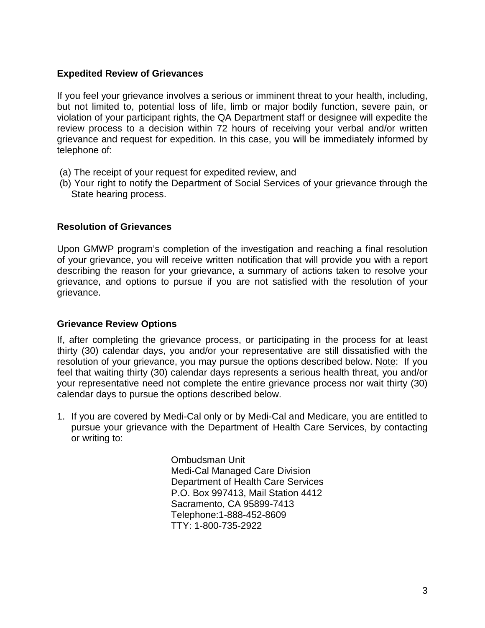### **Expedited Review of Grievances**

If you feel your grievance involves a serious or imminent threat to your health, including, but not limited to, potential loss of life, limb or major bodily function, severe pain, or violation of your participant rights, the QA Department staff or designee will expedite the review process to a decision within 72 hours of receiving your verbal and/or written grievance and request for expedition. In this case, you will be immediately informed by telephone of:

- (a) The receipt of your request for expedited review, and
- (b) Your right to notify the Department of Social Services of your grievance through the State hearing process.

### **Resolution of Grievances**

Upon GMWP program's completion of the investigation and reaching a final resolution of your grievance, you will receive written notification that will provide you with a report describing the reason for your grievance, a summary of actions taken to resolve your grievance, and options to pursue if you are not satisfied with the resolution of your grievance.

### **Grievance Review Options**

If, after completing the grievance process, or participating in the process for at least thirty (30) calendar days, you and/or your representative are still dissatisfied with the resolution of your grievance, you may pursue the options described below. Note: If you feel that waiting thirty (30) calendar days represents a serious health threat, you and/or your representative need not complete the entire grievance process nor wait thirty (30) calendar days to pursue the options described below.

1. If you are covered by Medi-Cal only or by Medi-Cal and Medicare, you are entitled to pursue your grievance with the Department of Health Care Services, by contacting or writing to:

> Ombudsman Unit Medi-Cal Managed Care Division Department of Health Care Services P.O. Box 997413, Mail Station 4412 Sacramento, CA 95899-7413 Telephone:1-888-452-8609 TTY: 1-800-735-2922